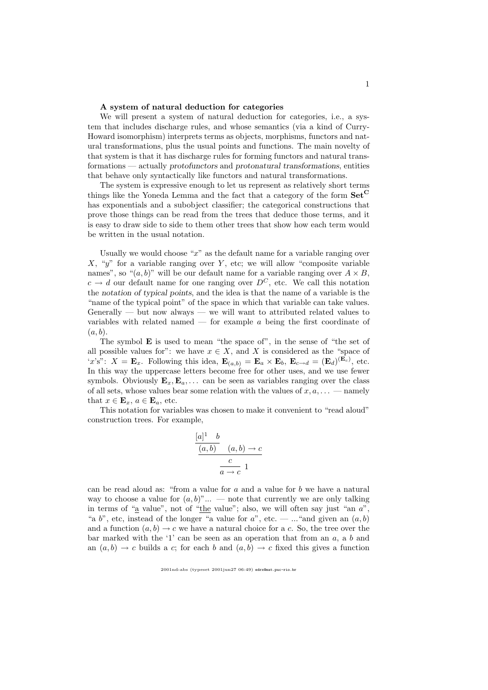## A system of natural deduction for categories

We will present a system of natural deduction for categories, i.e., a system that includes discharge rules, and whose semantics (via a kind of Curry-Howard isomorphism) interprets terms as objects, morphisms, functors and natural transformations, plus the usual points and functions. The main novelty of that system is that it has discharge rules for forming functors and natural transformations — actually protofunctors and protonatural transformations, entities that behave only syntactically like functors and natural transformations.

The system is expressive enough to let us represent as relatively short terms things like the Yoneda Lemma and the fact that a category of the form  $\textbf{Set}^{\text{C}}$ has exponentials and a subobject classifier; the categorical constructions that prove those things can be read from the trees that deduce those terms, and it is easy to draw side to side to them other trees that show how each term would be written in the usual notation.

Usually we would choose " $x$ " as the default name for a variable ranging over  $X$ , " $y$ " for a variable ranging over  $Y$ , etc; we will allow "composite variable names", so " $(a, b)$ " will be our default name for a variable ranging over  $A \times B$ ,  $c \to d$  our default name for one ranging over  $D^C$ , etc. We call this notation the notation of typical points, and the idea is that the name of a variable is the "name of the typical point" of the space in which that variable can take values. Generally — but now always — we will want to attributed related values to variables with related named  $-$  for example  $a$  being the first coordinate of  $(a, b)$ .

The symbol E is used to mean "the space of", in the sense of "the set of all possible values for": we have  $x \in X$ , and X is considered as the "space of 'x's":  $X = \mathbf{E}_x$ . Following this idea,  $\mathbf{E}_{(a,b)} = \mathbf{E}_a \times \mathbf{E}_b$ ,  $\mathbf{E}_{c \to d} = (\mathbf{E}_d)^{(\mathbf{E}_c)}$ , etc. In this way the uppercase letters become free for other uses, and we use fewer symbols. Obviously  $\mathbf{E}_x, \mathbf{E}_a, \ldots$  can be seen as variables ranging over the class of all sets, whose values bear some relation with the values of  $x, a, \ldots$  — namely that  $x \in \mathbf{E}_x$ ,  $a \in \mathbf{E}_a$ , etc.

This notation for variables was chosen to make it convenient to "read aloud" construction trees. For example,

$$
\frac{[a]^1 \quad b}{(a,b)} \quad (a,b) \to c
$$

$$
\frac{c}{a \to c} 1
$$

can be read aloud as: "from a value for  $a$  and a value for  $b$  we have a natural way to choose a value for  $(a, b)$ "... — note that currently we are only talking in terms of " $\underline{a}$  value", not of " $\underline{the}$  value"; also, we will often say just "an  $a$ ", "a b", etc, instead of the longer "a value for  $a$ ", etc. — ..."and given an  $(a, b)$ and a function  $(a, b) \rightarrow c$  we have a natural choice for a c. So, the tree over the bar marked with the '1' can be seen as an operation that from an  $a$ , a  $b$  and an  $(a, b) \rightarrow c$  builds a c; for each b and  $(a, b) \rightarrow c$  fixed this gives a function

<sup>2001</sup>nd-abs (typeset 2001jun27 06:49) edrx@mat.puc-rio.br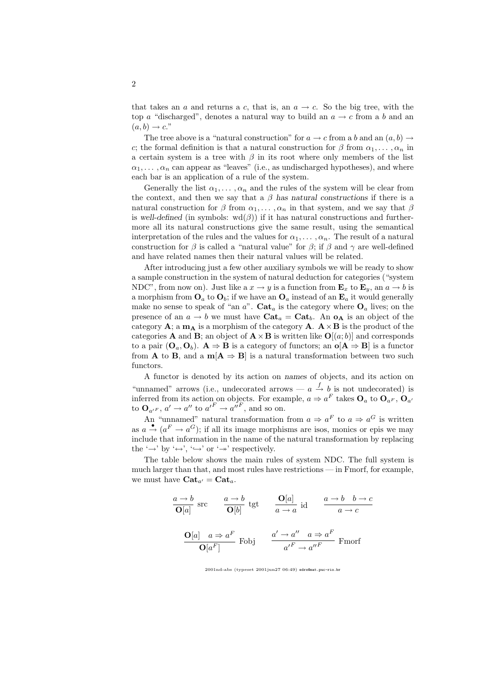that takes an a and returns a c, that is, an  $a \rightarrow c$ . So the big tree, with the top a "discharged", denotes a natural way to build an  $a \rightarrow c$  from a b and an  $(a, b) \rightarrow c$ ."

The tree above is a "natural construction" for  $a \to c$  from a b and an  $(a, b) \to a$ c; the formal definition is that a natural construction for  $\beta$  from  $\alpha_1, \ldots, \alpha_n$  in a certain system is a tree with  $\beta$  in its root where only members of the list  $\alpha_1, \ldots, \alpha_n$  can appear as "leaves" (i.e., as undischarged hypotheses), and where each bar is an application of a rule of the system.

Generally the list  $\alpha_1, \ldots, \alpha_n$  and the rules of the system will be clear from the context, and then we say that a  $\beta$  has natural constructions if there is a natural construction for  $\beta$  from  $\alpha_1, \ldots, \alpha_n$  in that system, and we say that  $\beta$ is well-defined (in symbols:  $\text{wd}(\beta)$ ) if it has natural constructions and furthermore all its natural constructions give the same result, using the semantical interpretation of the rules and the values for  $\alpha_1, \ldots, \alpha_n$ . The result of a natural construction for  $\beta$  is called a "natural value" for  $\beta$ ; if  $\beta$  and  $\gamma$  are well-defined and have related names then their natural values will be related.

After introducing just a few other auxiliary symbols we will be ready to show a sample construction in the system of natural deduction for categories ("system NDC", from now on). Just like a  $x \to y$  is a function from  $\mathbf{E}_x$  to  $\mathbf{E}_y$ , an  $a \to b$  is a morphism from  $\mathbf{O}_a$  to  $\mathbf{O}_b$ ; if we have an  $\mathbf{O}_a$  instead of an  $\mathbf{E}_a$  it would generally make no sense to speak of "an  $a$ ". Cat<sub>a</sub> is the category where  $O_a$  lives; on the presence of an  $a \to b$  we must have  $\text{Cat}_a = \text{Cat}_b$ . An  $\textbf{o}_A$  is an object of the category **A**; a  $m_A$  is a morphism of the category **A**.  $A \times B$  is the product of the categories **A** and **B**; an object of  $\mathbf{A} \times \mathbf{B}$  is written like  $\mathbf{O}[(a; b)]$  and corresponds to a pair  $(O_a, O_b)$ .  $A \Rightarrow B$  is a category of functors; an  $o[A \Rightarrow B]$  is a functor from **A** to **B**, and a  $m[A \Rightarrow B]$  is a natural transformation between two such functors.

A functor is denoted by its action on names of objects, and its action on "unnamed" arrows (i.e., undecorated arrows —  $a \stackrel{f}{\rightarrow} b$  is not undecorated) is inferred from its action on objects. For example,  $a \Rightarrow a^F$  takes  $\mathbf{O}_a$  to  $\mathbf{O}_{a^F}$ ,  $\mathbf{O}_{a'}$ to  $\mathbf{O}_{a^{\prime F}}$ ,  $a^{\prime} \rightarrow a^{\prime\prime}$  to  ${a^{\prime}}^F \rightarrow {a^{\prime\prime}}^F$ , and so on.

An "unnamed" natural transformation from  $a \Rightarrow a^F$  to  $a \Rightarrow a^G$  is written as  $a \stackrel{\bullet}{\rightarrow} (a^F \rightarrow a^G)$ ; if all its image morphisms are isos, monics or epis we may include that information in the name of the natural transformation by replacing the ' $\rightarrow$ ' by ' $\leftrightarrow$ ', ' $\hookrightarrow$ ' or ' $\rightarrow$ ' respectively.

The table below shows the main rules of system NDC. The full system is much larger than that, and most rules have restrictions — in Fmorf, for example, we must have  $\text{Cat}_{a'} = \text{Cat}_{a}$ .

$$
\frac{a \to b}{\mathbf{O}[a]} \text{ src } \frac{a \to b}{\mathbf{O}[b]} \text{ tgt } \frac{\mathbf{O}[a]}{a \to a} \text{ id } \frac{a \to b \quad b \to c}{a \to c}
$$
  

$$
\frac{\mathbf{O}[a] \quad a \Rightarrow a^F}{\mathbf{O}[a^F]} \text{ Fobj } \frac{a' \to a'' \quad a \Rightarrow a^F}{a'^F \to a''^F} \text{ Fmorf}
$$

2001nd-abs (typeset 2001jun27 06:49) edrx@mat.puc-rio.br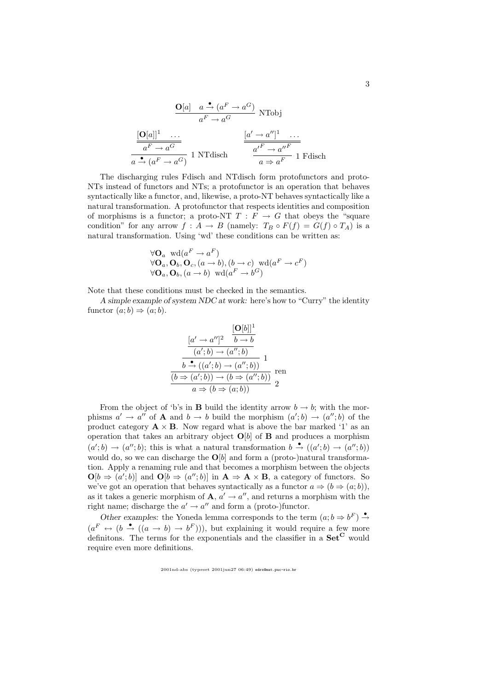$$
\frac{\mathbf{O}[a] \quad a \xrightarrow{\bullet} (a^F \to a^G)}{a^F \to a^G} \text{ NTobj}
$$
\n
$$
\frac{[\mathbf{O}[a]]^1 \quad \dots}{a^F \to a^G} \qquad \frac{[a' \to a'']^1 \quad \dots}{a' \to (a^F \to a^G)} \frac{[a' \to a'']^1 \quad \dots}{a \xrightarrow{\bullet} a^F} \text{ I Fdisch}
$$

The discharging rules Fdisch and NTdisch form protofunctors and proto-NTs instead of functors and NTs; a protofunctor is an operation that behaves syntactically like a functor, and, likewise, a proto-NT behaves syntactically like a natural transformation. A protofunctor that respects identities and composition of morphisms is a functor; a proto-NT  $T : F \to G$  that obeys the "square" condition" for any arrow  $f : A \to B$  (namely:  $T_B \circ F(f) = G(f) \circ T_A$ ) is a natural transformation. Using 'wd' these conditions can be written as:

$$
\forall \mathbf{O}_a \text{ wd}(a^F \rightarrow a^F)
$$
  

$$
\forall \mathbf{O}_a, \mathbf{O}_b, \mathbf{O}_c, (a \rightarrow b), (b \rightarrow c) \text{ wd}(a^F \rightarrow c^F)
$$
  

$$
\forall \mathbf{O}_a, \mathbf{O}_b, (a \rightarrow b) \text{ wd}(a^F \rightarrow b^G)
$$

Note that these conditions must be checked in the semantics.

A simple example of system NDC at work: here's how to "Curry" the identity functor  $(a:b) \Rightarrow (a;b)$ .

$$
\frac{[\mathbf{O}[b]]^1}{(a';b) \rightarrow (a'';b)}
$$
\n
$$
\frac{[a' \rightarrow a'']^2 \quad b \rightarrow b}{(a';b) \rightarrow (a'';b)}
$$
\n
$$
\frac{b \rightarrow ((a';b) \rightarrow (a'';b))}{(b \Rightarrow (a';b)) \rightarrow (b \Rightarrow (a'';b))}
$$
ren  
\n
$$
a \Rightarrow (b \Rightarrow (a;b))
$$

From the object of 'b's in **B** build the identity arrow  $b \rightarrow b$ ; with the morphisms  $a' \to a''$  of **A** and  $b \to b$  build the morphism  $(a';b) \to (a'';b)$  of the product category  $\mathbf{A} \times \mathbf{B}$ . Now regard what is above the bar marked '1' as an operation that takes an arbitrary object  $O[b]$  of **B** and produces a morphism  $(a';b) \rightarrow (a'';b)$ ; this is what a natural transformation  $b \stackrel{\bullet}{\rightarrow} ((a';b) \rightarrow (a'';b))$ would do, so we can discharge the  $\mathbf{O}[b]$  and form a (proto-)natural transformation. Apply a renaming rule and that becomes a morphism between the objects  $\mathbf{O}[b \Rightarrow (a';b)]$  and  $\mathbf{O}[b \Rightarrow (a'';b)]$  in  $\mathbf{A} \Rightarrow \mathbf{A} \times \mathbf{B}$ , a category of functors. So we've got an operation that behaves syntactically as a functor  $a \Rightarrow (b \Rightarrow (a;b))$ , as it takes a generic morphism of  $\mathbf{A}, a' \to a''$ , and returns a morphism with the right name; discharge the  $a' \rightarrow a''$  and form a (proto-)functor.

Other examples: the Yoneda lemma corresponds to the term  $(a; b \Rightarrow b^F) \stackrel{\bullet}{\rightarrow}$  $(a^F \leftrightarrow (b \stackrel{\bullet}{\rightarrow} ((a \rightarrow b) \rightarrow b^F))),$  but explaining it would require a few more definitons. The terms for the exponentials and the classifier in a  $\mathbf{Set}^{\mathbf{C}}$  would require even more definitions.

2001nd-abs (typeset 2001jun27 06:49) edrx@mat.puc-rio.br